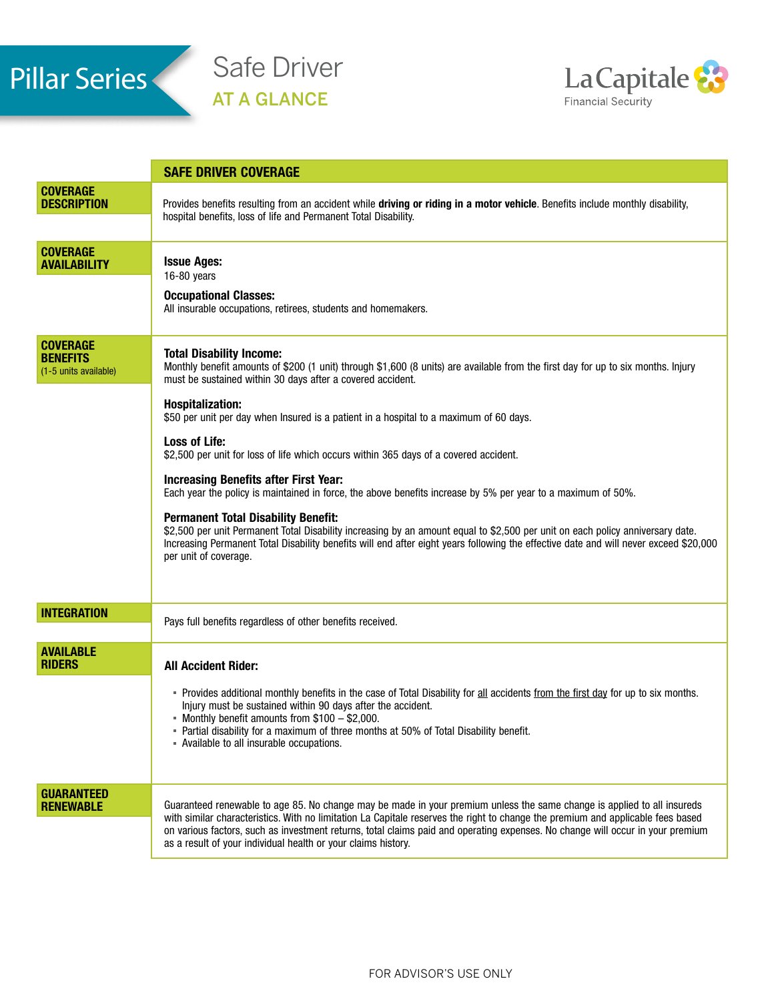

Safe Driver AT A GLANCE



|                                                             | <b>SAFE DRIVER COVERAGE</b>                                                                                                                                                                                                                                                                                                                                                                                                                                                                                                                                                                                                                                                                                                                                                                                                                                                                                                                                                                |
|-------------------------------------------------------------|--------------------------------------------------------------------------------------------------------------------------------------------------------------------------------------------------------------------------------------------------------------------------------------------------------------------------------------------------------------------------------------------------------------------------------------------------------------------------------------------------------------------------------------------------------------------------------------------------------------------------------------------------------------------------------------------------------------------------------------------------------------------------------------------------------------------------------------------------------------------------------------------------------------------------------------------------------------------------------------------|
| <b>COVERAGE</b><br><b>DESCRIPTION</b>                       | Provides benefits resulting from an accident while driving or riding in a motor vehicle. Benefits include monthly disability,<br>hospital benefits, loss of life and Permanent Total Disability.                                                                                                                                                                                                                                                                                                                                                                                                                                                                                                                                                                                                                                                                                                                                                                                           |
| <b>COVERAGE</b><br><b>AVAILABILITY</b>                      | <b>Issue Ages:</b><br>16-80 years<br><b>Occupational Classes:</b><br>All insurable occupations, retirees, students and homemakers.                                                                                                                                                                                                                                                                                                                                                                                                                                                                                                                                                                                                                                                                                                                                                                                                                                                         |
| <b>COVERAGE</b><br><b>BENEFITS</b><br>(1-5 units available) | <b>Total Disability Income:</b><br>Monthly benefit amounts of \$200 (1 unit) through \$1,600 (8 units) are available from the first day for up to six months. Injury<br>must be sustained within 30 days after a covered accident.<br><b>Hospitalization:</b><br>\$50 per unit per day when Insured is a patient in a hospital to a maximum of 60 days.<br><b>Loss of Life:</b><br>\$2,500 per unit for loss of life which occurs within 365 days of a covered accident.<br><b>Increasing Benefits after First Year:</b><br>Each year the policy is maintained in force, the above benefits increase by 5% per year to a maximum of 50%.<br><b>Permanent Total Disability Benefit:</b><br>\$2,500 per unit Permanent Total Disability increasing by an amount equal to \$2,500 per unit on each policy anniversary date.<br>Increasing Permanent Total Disability benefits will end after eight years following the effective date and will never exceed \$20,000<br>per unit of coverage. |
| <b>INTEGRATION</b>                                          | Pays full benefits regardless of other benefits received.                                                                                                                                                                                                                                                                                                                                                                                                                                                                                                                                                                                                                                                                                                                                                                                                                                                                                                                                  |
| <b>AVAILABLE</b><br><b>RIDERS</b>                           | <b>All Accident Rider:</b><br>- Provides additional monthly benefits in the case of Total Disability for all accidents from the first day for up to six months.<br>Injury must be sustained within 90 days after the accident.<br>- Monthly benefit amounts from \$100 - \$2,000.<br>- Partial disability for a maximum of three months at 50% of Total Disability benefit.<br>- Available to all insurable occupations.                                                                                                                                                                                                                                                                                                                                                                                                                                                                                                                                                                   |
| <b>GUARANTEED</b><br><b>RENEWABLE</b>                       | Guaranteed renewable to age 85. No change may be made in your premium unless the same change is applied to all insureds<br>with similar characteristics. With no limitation La Capitale reserves the right to change the premium and applicable fees based<br>on various factors, such as investment returns, total claims paid and operating expenses. No change will occur in your premium<br>as a result of your individual health or your claims history.                                                                                                                                                                                                                                                                                                                                                                                                                                                                                                                              |